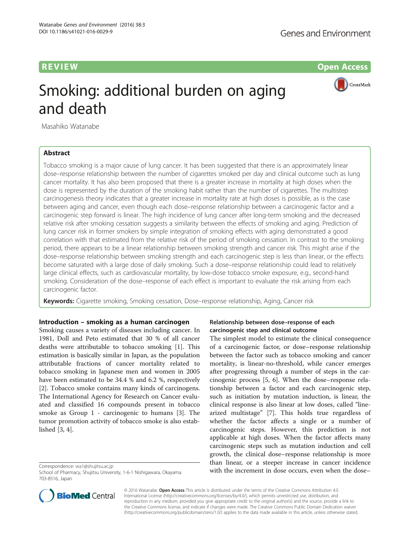**REVIEW CONSTRUCTION CONSTRUCTION CONSTRUCTS** 

CrossMark

# Smoking: additional burden on aging and death

Masahiko Watanabe

# Abstract

Tobacco smoking is a major cause of lung cancer. It has been suggested that there is an approximately linear dose–response relationship between the number of cigarettes smoked per day and clinical outcome such as lung cancer mortality. It has also been proposed that there is a greater increase in mortality at high doses when the dose is represented by the duration of the smoking habit rather than the number of cigarettes. The multistep carcinogenesis theory indicates that a greater increase in mortality rate at high doses is possible, as is the case between aging and cancer, even though each dose–response relationship between a carcinogenic factor and a carcinogenic step forward is linear. The high incidence of lung cancer after long-term smoking and the decreased relative risk after smoking cessation suggests a similarity between the effects of smoking and aging. Prediction of lung cancer risk in former smokers by simple integration of smoking effects with aging demonstrated a good correlation with that estimated from the relative risk of the period of smoking cessation. In contrast to the smoking period, there appears to be a linear relationship between smoking strength and cancer risk. This might arise if the dose–response relationship between smoking strength and each carcinogenic step is less than linear, or the effects become saturated with a large dose of daily smoking. Such a dose–response relationship could lead to relatively large clinical effects, such as cardiovascular mortality, by low-dose tobacco smoke exposure, e.g., second-hand smoking. Consideration of the dose–response of each effect is important to evaluate the risk arising from each carcinogenic factor.

Keywords: Cigarette smoking, Smoking cessation, Dose–response relationship, Aging, Cancer risk

## Introduction – smoking as a human carcinogen

Smoking causes a variety of diseases including cancer. In 1981, Doll and Peto estimated that 30 % of all cancer deaths were attributable to tobacco smoking [\[1](#page-3-0)]. This estimation is basically similar in Japan, as the population attributable fractions of cancer mortality related to tobacco smoking in Japanese men and women in 2005 have been estimated to be 34.4 % and 6.2 %, respectively [[2\]](#page-3-0). Tobacco smoke contains many kinds of carcinogens. The International Agency for Research on Cancer evaluated and classified 16 compounds present in tobacco smoke as Group 1 - carcinogenic to humans [\[3](#page-3-0)]. The tumor promotion activity of tobacco smoke is also established [[3, 4\]](#page-3-0).

School of Pharmacy, Shujitsu University, 1-6-1 Nishigawara, Okayama 703-8516, Japan

# Relationship between dose–response of each carcinogenic step and clinical outcome

The simplest model to estimate the clinical consequence of a carcinogenic factor, or dose–response relationship between the factor such as tobacco smoking and cancer mortality, is linear-no-threshold, while cancer emerges after progressing through a number of steps in the carcinogenic process [[5, 6\]](#page-3-0). When the dose–response relationship between a factor and each carcinogenic step, such as initiation by mutation induction, is linear, the clinical response is also linear at low doses, called "linearized multistage" [\[7\]](#page-3-0). This holds true regardless of whether the factor affects a single or a number of carcinogenic steps. However, this prediction is not applicable at high doses. When the factor affects many carcinogenic steps such as mutation induction and cell growth, the clinical dose–response relationship is more than linear, or a steeper increase in cancer incidence Correspondence: [wa1@shujitsu.ac.jp](mailto:wa1@shujitsu.ac.jp)<br>School of Pharmacy Shujitsu.1 Iniversity 1-6-1 Nishigawara Okayama **with the increment in dose occurs, even when the dose** 



© 2016 Watanabe. Open Access This article is distributed under the terms of the Creative Commons Attribution 4.0 International License [\(http://creativecommons.org/licenses/by/4.0/](http://creativecommons.org/licenses/by/4.0/)), which permits unrestricted use, distribution, and reproduction in any medium, provided you give appropriate credit to the original author(s) and the source, provide a link to the Creative Commons license, and indicate if changes were made. The Creative Commons Public Domain Dedication waiver [\(http://creativecommons.org/publicdomain/zero/1.0/](http://creativecommons.org/publicdomain/zero/1.0/)) applies to the data made available in this article, unless otherwise stated.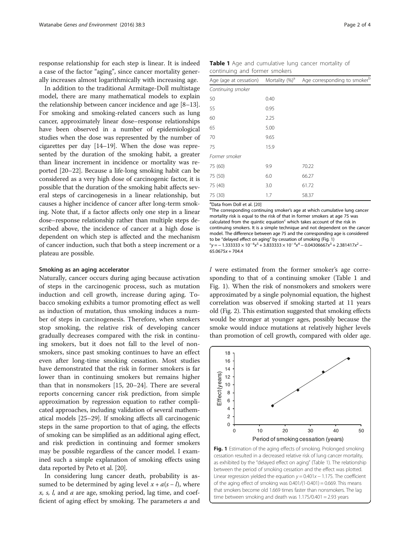<span id="page-1-0"></span>response relationship for each step is linear. It is indeed a case of the factor "aging", since cancer mortality generally increases almost logarithmically with increasing age.

In addition to the traditional Armitage-Doll multistage model, there are many mathematical models to explain the relationship between cancer incidence and age [\[8](#page-3-0)–[13](#page-3-0)]. For smoking and smoking-related cancers such as lung cancer, approximately linear dose–response relationships have been observed in a number of epidemiological studies when the dose was represented by the number of cigarettes per day [[14](#page-3-0)–[19\]](#page-3-0). When the dose was represented by the duration of the smoking habit, a greater than linear increment in incidence or mortality was reported [\[20](#page-3-0)–[22\]](#page-3-0). Because a life-long smoking habit can be considered as a very high dose of carcinogenic factor, it is possible that the duration of the smoking habit affects several steps of carcinogenesis in a linear relationship, but causes a higher incidence of cancer after long-term smoking. Note that, if a factor affects only one step in a linear dose–response relationship rather than multiple steps described above, the incidence of cancer at a high dose is dependent on which step is affected and the mechanism of cancer induction, such that both a steep increment or a plateau are possible.

#### Smoking as an aging accelerator

Naturally, cancer occurs during aging because activation of steps in the carcinogenic process, such as mutation induction and cell growth, increase during aging. Tobacco smoking exhibits a tumor promoting effect as well as induction of mutation, thus smoking induces a number of steps in carcinogenesis. Therefore, when smokers stop smoking, the relative risk of developing cancer gradually decreases compared with the risk in continuing smokers, but it does not fall to the level of nonsmokers, since past smoking continues to have an effect even after long-time smoking cessation. Most studies have demonstrated that the risk in former smokers is far lower than in continuing smokers but remains higher than that in nonsmokers [[15](#page-3-0), [20](#page-3-0)–[24](#page-3-0)]. There are several reports concerning cancer risk prediction, from simple approximation by regression equation to rather complicated approaches, including validation of several mathematical models [[25](#page-3-0)–[29\]](#page-3-0). If smoking affects all carcinogenic steps in the same proportion to that of aging, the effects of smoking can be simplified as an additional aging effect, and risk prediction in continuing and former smokers may be possible regardless of the cancer model. I examined such a simple explanation of smoking effects using data reported by Peto et al. [\[20\]](#page-3-0).

In considering lung cancer death, probability is assumed to be determined by aging level  $x + a(s - l)$ , where  $x, s, l$ , and a are age, smoking period, lag time, and coefficient of aging effect by smoking. The parameters  $a$  and

Table 1 Age and cumulative lung cancer mortality of continuing and former smokers

| Age (age at cessation) | Mortality (%) <sup>a</sup> | Age corresponding to smokerb |
|------------------------|----------------------------|------------------------------|
| Continuing smoker      |                            |                              |
| 50                     | 0.40                       |                              |
| 55                     | 0.95                       |                              |
| 60                     | 2.25                       |                              |
| 65                     | 5.00                       |                              |
| 70                     | 9.65                       |                              |
| 75                     | 15.9                       |                              |
| Former smoker          |                            |                              |
| 75 (60)                | 9.9                        | 70.22                        |
| 75 (50)                | 6.0                        | 66.27                        |
| 75 (40)                | 3.0                        | 61.72                        |
| 75 (30)                | 1.7                        | 58.37                        |

<sup>a</sup> Data from Doll et al. [[20](#page-3-0)]

<sup>b</sup>The corresponding continuing smoker's age at which cumulative lung cancer mortality risk is equal to the risk of that in former smokers at age 75 was calculated from the quintic equation $<sup>c</sup>$  which takes account of the risk in</sup> continuing smokers. It is a simple technique and not dependent on the cancer model. The difference between age 75 and the corresponding age is considered to be "delayed effect on aging" by cessation of smoking (Fig. 1)  $y = -1.333333 \times 10^{-6} x^{5} + 3.833333 \times 10^{-4} x^{4} - 0.04306667 x^{3} + 2.381417 x^{2} -$ 

 $65.0675x + 704.4$ 

l were estimated from the former smoker's age corresponding to that of a continuing smoker (Table 1 and Fig. 1). When the risk of nonsmokers and smokers were approximated by a single polynomial equation, the highest correlation was observed if smoking started at 11 years old (Fig. [2\)](#page-2-0). This estimation suggested that smoking effects would be stronger at younger ages, possibly because the smoke would induce mutations at relatively higher levels than promotion of cell growth, compared with older age.



cessation resulted in a decreased relative risk of lung cancer mortality, as exhibited by the "delayed effect on aging" (Table 1). The relationship between the period of smoking cessation and the effect was plotted. Linear regression yielded the equation  $y = 0.401x - 1.175$ . The coefficient of the aging effect of smoking was  $0.401/(1-0.401) = 0.669$ . This means that smokers become old 1.669 times faster than nonsmokers. The lag time between smoking and death was 1.175/0.401 = 2.93 years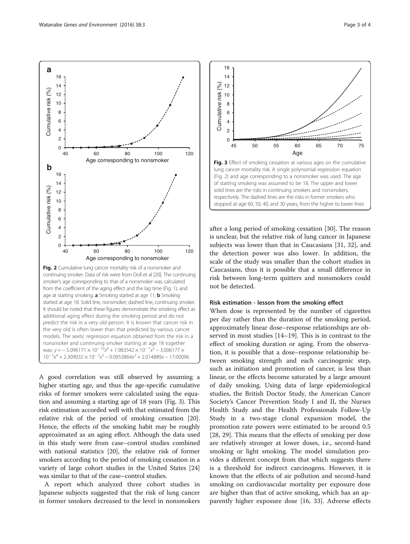<span id="page-2-0"></span>**a**

**b**<br>Cumulative risk (%)

 $\mathbf b$ 

Cumulative risk (%)

Cumulative risk (%)

Cumulative risk (%)



40 60 80 100 120

Age corresponding to nonsmoker

40 60 80 100 120

A good correlation was still observed by assuming a higher starting age, and thus the age-specific cumulative risks of former smokers were calculated using the equation and assuming a starting age of 18 years (Fig. 3). This risk estimation accorded well with that estimated from the relative risk of the period of smoking cessation [[20](#page-3-0)]. Hence, the effects of the smoking habit may be roughly approximated as an aging effect. Although the data used in this study were from case–control studies combined with national statistics [[20](#page-3-0)], the relative risk of former smokers according to the period of smoking cessation in a variety of large cohort studies in the United States [[24](#page-3-0)] was similar to that of the case–control studies.

A report which analyzed three cohort studies in Japanese subjects suggested that the risk of lung cancer in former smokers decreased to the level in nonsmokers



after a long period of smoking cessation [[30](#page-3-0)]. The reason is unclear, but the relative risk of lung cancer in Japanese subjects was lower than that in Caucasians [[31](#page-3-0), [32\]](#page-3-0), and the detection power was also lower. In addition, the scale of the study was smaller than the cohort studies in Caucasians, thus it is possible that a small difference in risk between long-term quitters and nonsmokers could not be detected.

#### Risk estimation - lesson from the smoking effect

When dose is represented by the number of cigarettes per day rather than the duration of the smoking period, approximately linear dose–response relationships are observed in most studies [[14](#page-3-0)–[19](#page-3-0)]. This is in contrast to the effect of smoking duration or aging. From the observation, it is possible that a dose–response relationship between smoking strength and each carcinogenic step, such as initiation and promotion of cancer, is less than linear, or the effects become saturated by a large amount of daily smoking. Using data of large epidemiological studies, the British Doctor Study, the American Cancer Society's Cancer Prevention Study I and II, the Nurses Health Study and the Health Professionals Follow-Up Study in a two-stage clonal expansion model, the promotion rate powers were estimated to be around 0.5 [[28, 29\]](#page-3-0). This means that the effects of smoking per dose are relatively stronger at lower doses, i.e., second-hand smoking or light smoking. The model simulation provides a different concept from that which suggests there is a threshold for indirect carcinogens. However, it is known that the effects of air pollution and second-hand smoking on cardiovascular mortality per exposure dose are higher than that of active smoking, which has an apparently higher exposure dose [[16](#page-3-0), [33\]](#page-3-0). Adverse effects